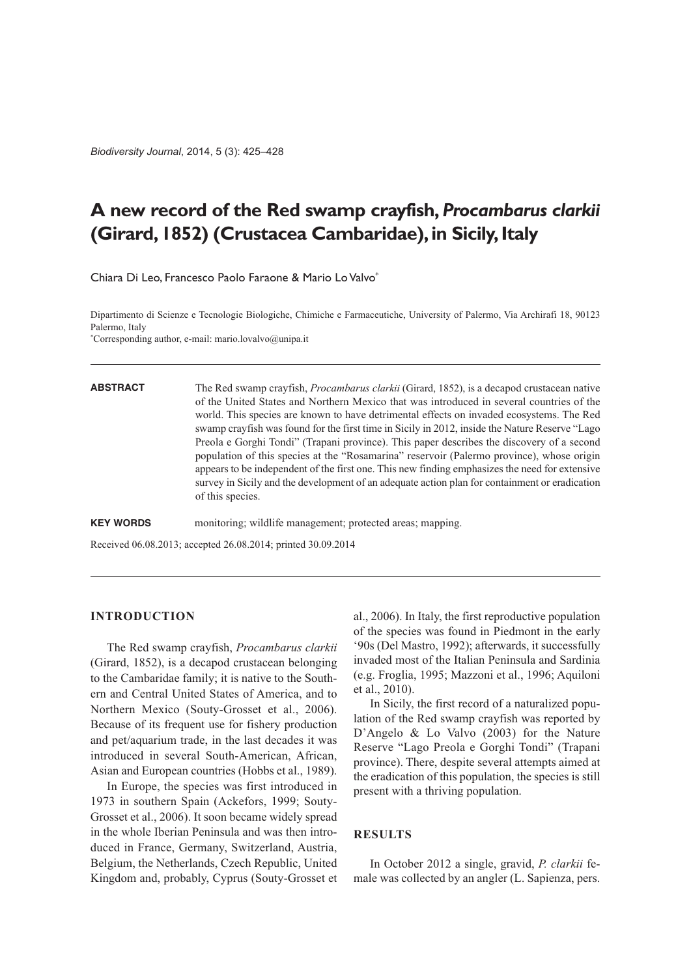*Biodiversity Journal*, 2014, 5 (3): 425–428

# **A new record of the Red swamp crayfish,** *Procambarus clarkii* **(Girard,1852) (Crustacea Cambaridae),in Sicily,Italy**

Chiara Di Leo, Francesco Paolo Faraone & Mario LoValvo\*

Dipartimento di Scienze e Tecnologie Biologiche, Chimiche e Farmaceutiche, University of Palermo, Via Archirafi 18, 90123 Palermo, Italy

\* Corresponding author, e-mail: mario.lovalvo@unipa.it

**ABSTRACT** The Red swamp crayfish, *Procambarus clarkii* (Girard, 1852), is a decapod crustacean native of the United States and Northern Mexico that was introduced in several countries of the world. This species are known to have detrimental effects on invaded ecosystems. The Red swamp crayfish was found for the first time in Sicily in 2012, inside the Nature Reserve "Lago Preola e Gorghi Tondi" (Trapani province). This paper describes the discovery of a second population of this species at the "Rosamarina" reservoir (Palermo province), whose origin appears to be independent of the first one. This new finding emphasizes the need for extensive survey in Sicily and the development of an adequate action plan for containment or eradication of this species.

**KEY WORDS** monitoring; wildlife management; protected areas; mapping.

Received 06.08.2013; accepted 26.08.2014; printed 30.09.2014

## **INTRODUCTION**

The Red swamp crayfish, *Procambarus clarkii* (Girard, 1852), is a decapod crustacean belonging to the Cambaridae family; it is native to the Southern and Central United States of America, and to Northern Mexico (Souty-Grosset et al., 2006). Because of its frequent use for fishery production and pet/aquarium trade, in the last decades it was introduced in several South-American, African, Asian and European countries (Hobbs et al., 1989).

In Europe, the species was first introduced in 1973 in southern Spain (Ackefors, 1999; Souty-Grosset et al., 2006). It soon became widely spread in the whole Iberian Peninsula and was then introduced in France, Germany, Switzerland, Austria, Belgium, the Netherlands, Czech Republic, United Kingdom and, probably, Cyprus (Souty-Grosset et al., 2006). In Italy, the first reproductive population of the species was found in Piedmont in the early '90s (Del Mastro, 1992); afterwards, it successfully invaded most of the Italian Peninsula and Sardinia (e.g. Froglia, 1995; Mazzoni et al., 1996; Aquiloni et al., 2010).

In Sicily, the first record of a naturalized population of the Red swamp crayfish was reported by D'Angelo & Lo Valvo (2003) for the Nature Reserve "Lago Preola e Gorghi Tondi" (Trapani province). There, despite several attempts aimed at the eradication of this population, the species is still present with a thriving population.

#### **RESULTS**

In October 2012 a single, gravid, *P. clarkii* female was collected by an angler (L. Sapienza, pers.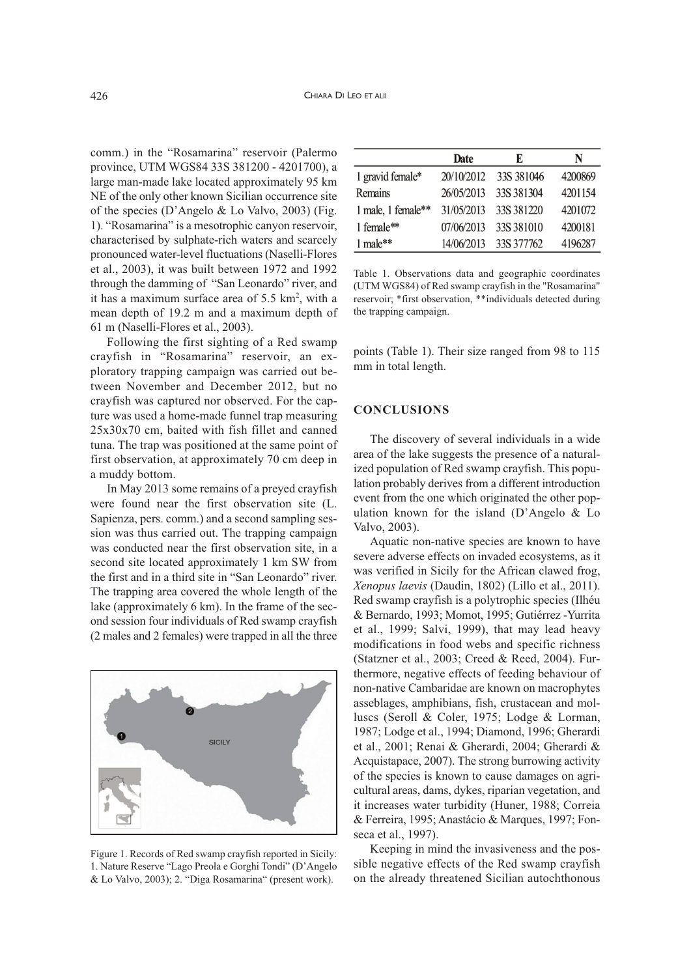comm.) in the "Rosamarina" reservoir (Palermo province, UTM WGS84 33S 381200 - 4201700), a large man-made lake located approximately 95 km NE of the only other known Sicilian occurrence site of the species (D'Angelo & Lo Valvo, 2003) (Fig. 1). "Rosamarina" is a mesotrophic canyon reservoir, characterised by sulphate-rich waters and scarcely pronounced water-level fluctuations (Naselli-Flores et al., 2003), it was built between 1972 and 1992 through the damming of "San Leonardo" river, and it has a maximum surface area of 5.5 km<sup>2</sup>, with a mean depth of 19.2 m and a maximum depth of 61 m (Naselli-Flores et al., 2003).

Following the first sighting of a Red swamp crayfish in "Rosamarina" reservoir, an exploratory trapping campaign was carried out between November and December 2012, but no crayfish was captured nor observed. For the capture was used a home-made funnel trap measuring 25x30x70 cm, baited with fish fillet and canned tuna. The trap was positioned at the same point of first observation, at approximately 70 cm deep in a muddy bottom.

In May 2013 some remains of a preyed crayfish were found near the first observation site (L. Sapienza, pers. comm.) and a second sampling session was thus carried out. The trapping campaign was conducted near the first observation site, in a second site located approximately 1 km SW from the first and in a third site in "San Leonardo" river. The trapping area covered the whole length of the lake (approximately 6 km). In the frame of the second session four individuals of Red swamp crayfish (2 males and 2 females) were trapped in all the three



Figure 1. Records of Red swamp crayfish reported in Sicily: 1. Nature Reserve "Lago Preola e Gorghi Tondi" (D'Angelo & Lo Valvo, 2003); 2. "Diga Rosamarina" (present work).

|                        | Date       | E          | N       |
|------------------------|------------|------------|---------|
| 1 gravid female*       | 20/10/2012 | 33S 381046 | 4200869 |
| Remains                | 26/05/2013 | 33S 381304 | 4201154 |
| 1 male, 1 female**     | 31/05/2013 | 33S 381220 | 4201072 |
| 1 female**             | 07/06/2013 | 33S 381010 | 4200181 |
| $1$ male <sup>**</sup> | 14/06/2013 | 33S 377762 | 4196287 |

Table 1. Observations data and geographic coordinates (UTM WGS84) of Red swamp crayfish in the "Rosamarina" reservoir; \*first observation, \*\*individuals detected during the trapping campaign.

points (Table 1). Their size ranged from 98 to 115 mm in total length.

#### **CONCLUSIONS**

The discovery of several individuals in a wide area of the lake suggests the presence of a naturalized population of Red swamp crayfish. This population probably derives from a different introduction event from the one which originated the other population known for the island (D'Angelo & Lo Valvo, 2003).

Aquatic non-native species are known to have severe adverse effects on invaded ecosystems, as it was verified in Sicily for the African clawed frog, *Xenopus laevis* (Daudin, 1802) (Lillo et al., 2011). Red swamp crayfish is a polytrophic species (Ilhéu & Bernardo, 1993; Momot, 1995; Gutiérrez -Yurrita et al., 1999; Salvi, 1999), that may lead heavy modifications in food webs and specific richness (Statzner et al., 2003; Creed & Reed, 2004). Furthermore, negative effects of feeding behaviour of non-native Cambaridae are known on macrophytes asseblages, amphibians, fish, crustacean and molluscs (Seroll & Coler, 1975; Lodge & Lorman, 1987; Lodge et al., 1994; Diamond, 1996; Gherardi et al., 2001; Renai & Gherardi, 2004; Gherardi & Acquistapace, 2007). The strong burrowing activity of the species is known to cause damages on agricultural areas, dams, dykes, riparian vegetation, and it increases water turbidity (Huner, 1988; Correia & Ferreira, 1995; Anastácio & Marques, 1997; Fonseca et al., 1997).

Keeping in mind the invasiveness and the possible negative effects of the Red swamp crayfish on the already threatened Sicilian autochthonous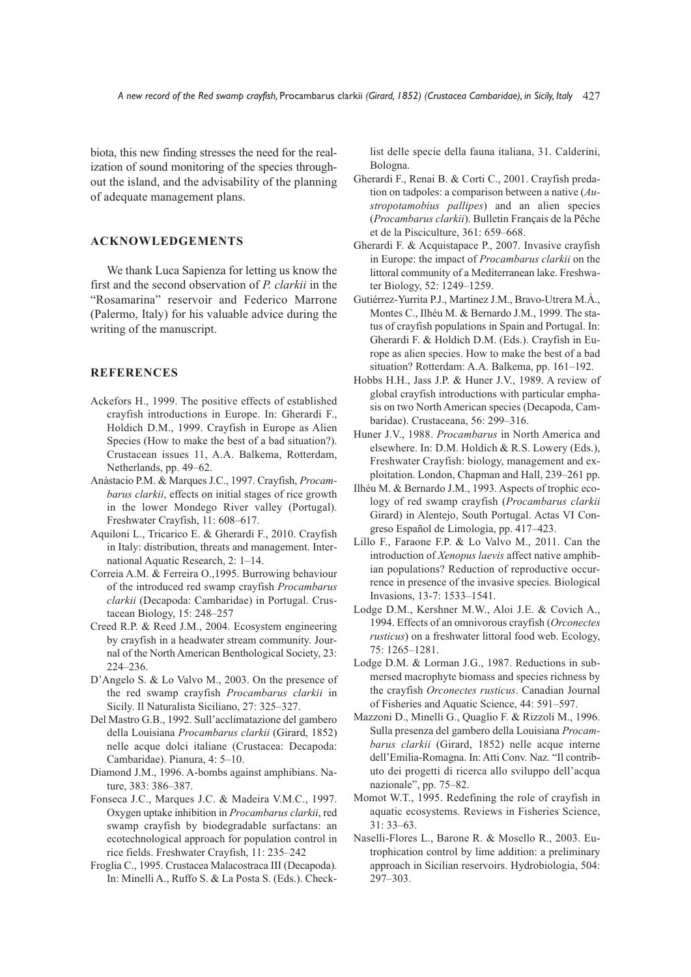biota, this new finding stresses the need for the realization of sound monitoring of the species throughout the island, and the advisability of the planning of adequate management plans.

### **ACKNOWLEDGEMENTS**

We thank Luca Sapienza for letting us know the first and the second observation of *P. clarkii* in the "Rosamarina" reservoir and Federico Marrone (Palermo, Italy) for his valuable advice during the writing of the manuscript.

#### **REFERENCES**

- Ackefors H., 1999. The positive effects of established crayfish introductions in Europe. In: Gherardi F., Holdich D.M., 1999. Crayfish in Europe as Alien Species (How to make the best of a bad situation?). Crustacean issues 11, A.A. Balkema, Rotterdam, Netherlands, pp. 49–62.
- Anàstacio P.M. & Marques J.C., 1997. Crayfish, *Procambarus clarkii*, effects on initial stages of rice growth in the lower Mondego River valley (Portugal). Freshwater Crayfish, 11: 608–617.
- Aquiloni L., Tricarico E. & Gherardi F., 2010. Crayfish in Italy: distribution, threats and management. International Aquatic Research, 2: 1–14.
- Correia A.M. & Ferreira O.,1995. Burrowing behaviour of the introduced red swamp crayfish *Procambarus clarkii* (Decapoda: Cambaridae) in Portugal. Crustacean Biology, 15: 248–257
- Creed R.P. & Reed J.M., 2004. Ecosystem engineering by crayfish in a headwater stream community. Journal of the North American Benthological Society, 23: 224–236.
- D'Angelo S. & Lo Valvo M., 2003. On the presence of the red swamp crayfish *Procambarus clarkii* in Sicily. Il Naturalista Siciliano, 27: 325–327.
- Del Mastro G.B., 1992. Sull'acclimatazione del gambero della Louisiana *Procambarus clarkii* (Girard, 1852) nelle acque dolci italiane (Crustacea: Decapoda: Cambaridae). Pianura, 4: 5–10.
- Diamond J.M., 1996. A-bombs against amphibians. Nature, 383: 386–387.
- Fonseca J.C., Marques J.C. & Madeira V.M.C., 1997. Oxygen uptake inhibition in *Procambarus clarkii*, red swamp crayfish by biodegradable surfactans: an ecotechnological approach for population control in rice fields. Freshwater Crayfish, 11: 235–242
- Froglia C., 1995. Crustacea Malacostraca III (Decapoda). In: Minelli A., Ruffo S. & La Posta S. (Eds.). Check-

list delle specie della fauna italiana, 31. Calderini, Bologna.

- Gherardi F., Renai B. & Corti C., 2001. Crayfish predation on tadpoles: a comparison between a native (*Austropotamobius pallipes*) and an alien species (*Procambarus clarkii*). Bulletin Français de la Pêche et de la Pisciculture, 361: 659–668.
- Gherardi F. & Acquistapace P., 2007. Invasive crayfish in Europe: the impact of *Procambarus clarkii* on the littoral community of a Mediterranean lake. Freshwater Biology, 52: 1249–1259.
- Gutiérrez-Yurrita P.J., Martinez J.M., Bravo-Utrera M.À., Montes C., Ilhéu M. & Bernardo J.M., 1999. The status of crayfish populations in Spain and Portugal. In: Gherardi F. & Holdich D.M. (Eds.). Crayfish in Europe as alien species. How to make the best of a bad situation? Rotterdam: A.A. Balkema, pp. 161–192.
- Hobbs H.H., Jass J.P. & Huner J.V., 1989. A review of global crayfish introductions with particular emphasis on two North American species (Decapoda, Cambaridae). Crustaceana, 56: 299–316.
- Huner J.V., 1988. *Procambarus* in North America and elsewhere. In: D.M. Holdich & R.S. Lowery (Eds.), Freshwater Crayfish: biology, management and exploitation. London, Chapman and Hall, 239–261 pp.
- Ilhéu M. & Bernardo J.M., 1993. Aspects of trophic ecology of red swamp crayfish (*Procambarus clarkii* Girard) in Alentejo, South Portugal. Actas VI Congreso Español de Limologìa, pp. 417–423.
- Lillo F., Faraone F.P. & Lo Valvo M., 2011. Can the introduction of *Xenopus laevis* affect native amphibian populations? Reduction of reproductive occurrence in presence of the invasive species. Biological Invasions, 13-7: 1533–1541.
- Lodge D.M., Kershner M.W., Aloi J.E. & Covich A., 1994. Effects of an omnivorous crayfish (*Orconectes rusticus*) on a freshwater littoral food web. Ecology, 75: 1265–1281.
- Lodge D.M. & Lorman J.G., 1987. Reductions in submersed macrophyte biomass and species richness by the crayfish *Orconectes rusticus*. Canadian Journal of Fisheries and Aquatic Science, 44: 591–597.
- Mazzoni D., Minelli G., Quaglio F. & Rizzoli M., 1996. Sulla presenza del gambero della Louisiana *Procambarus clarkii* (Girard, 1852) nelle acque interne dell'Emilia-Romagna. In: Atti Conv. Naz. "Il contributo dei progetti di ricerca allo sviluppo dell'acqua nazionale", pp. 75–82.
- Momot W.T., 1995. Redefining the role of crayfish in aquatic ecosystems. Reviews in Fisheries Science, 31: 33–63.
- Naselli-Flores L., Barone R. & Mosello R., 2003. Eutrophication control by lime addition: a preliminary approach in Sicilian reservoirs. Hydrobiologia, 504: 297–303.